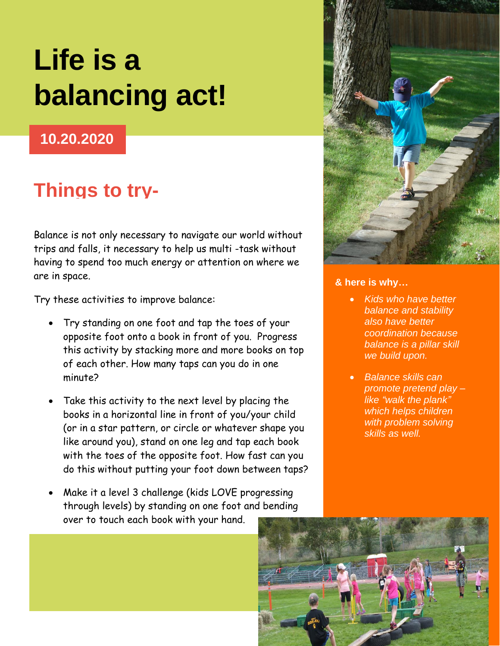# **Life is a balancing act!**

### **10.20.2020**

## **Things to try-**

Balance is not only necessary to navigate our world without trips and falls, it necessary to help us multi -task without having to spend too much energy or attention on where we are in space.

Try these activities to improve balance:

- Try standing on one foot and tap the toes of your opposite foot onto a book in front of you. Progress this activity by stacking more and more books on top of each other. How many taps can you do in one minute?
- Take this activity to the next level by placing the books in a horizontal line in front of you/your child (or in a star pattern, or circle or whatever shape you like around you), stand on one leg and tap each book with the toes of the opposite foot. How fast can you do this without putting your foot down between taps?
- Make it a level 3 challenge (kids LOVE progressing through levels) by standing on one foot and bending over to touch each book with your hand.



#### **& here is why…**

- *Kids who have better balance and stability also have better coordination because balance is a pillar skill we build upon.*
- *Balance skills can promote pretend play – like "walk the plank" which helps children with problem solving skills as well.*